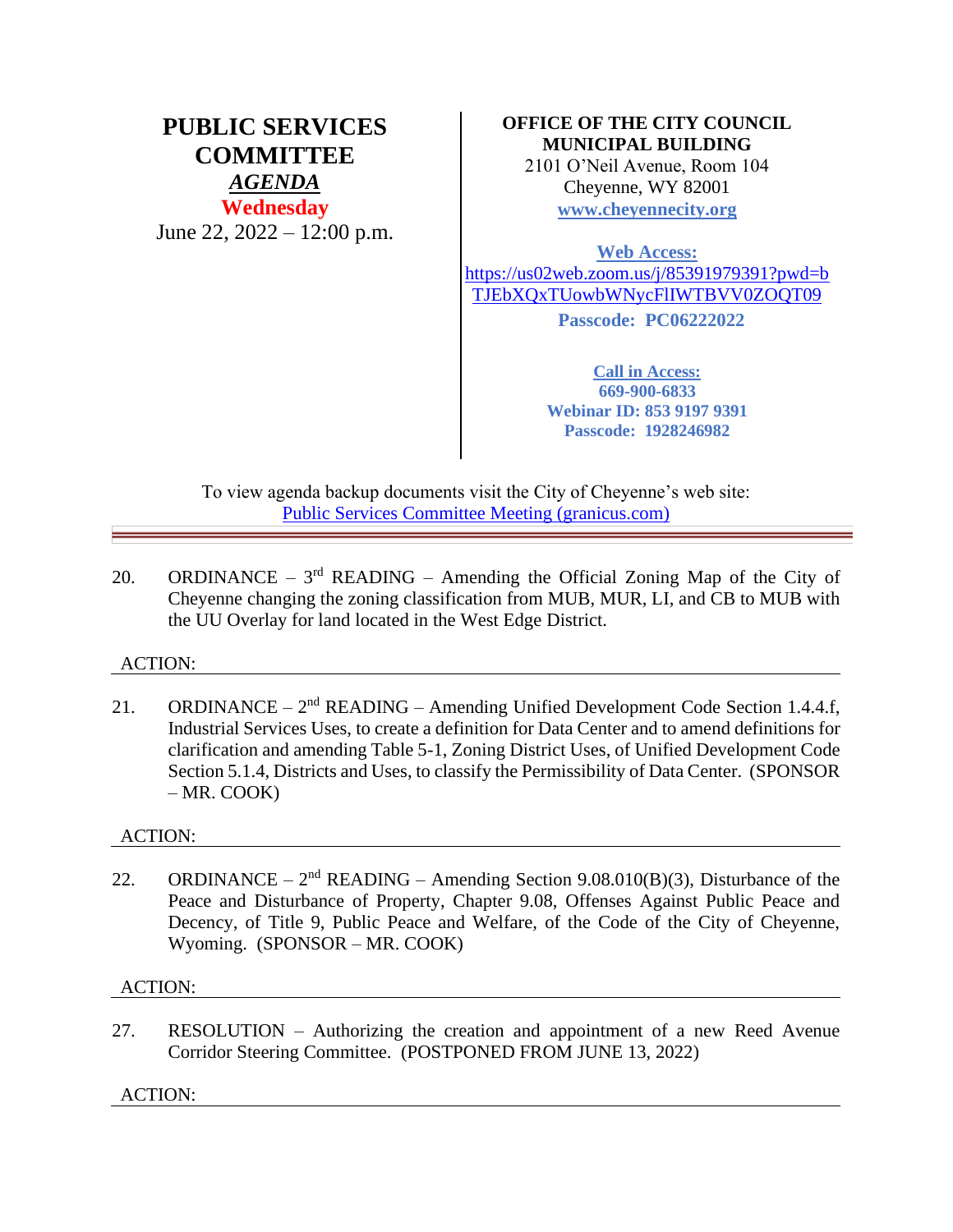# **PUBLIC SERVICES COMMITTEE** *AGENDA* **Wednesday** June 22, 2022 – 12:00 p.m.

# **OFFICE OF THE CITY COUNCIL MUNICIPAL BUILDING**

2101 O'Neil Avenue, Room 104 Cheyenne, WY 82001 **[www.cheyennecity.org](http://www.cheyennecity.org/)**

**Web Access:** 

[https://us02web.zoom.us/j/85391979391?pwd=b](https://us02web.zoom.us/j/85391979391?pwd=bTJEbXQxTUowbWNycFlIWTBVV0ZOQT09) [TJEbXQxTUowbWNycFlIWTBVV0ZOQT09](https://us02web.zoom.us/j/85391979391?pwd=bTJEbXQxTUowbWNycFlIWTBVV0ZOQT09)

**Passcode: PC06222022**

**Call in Access: 669-900-6833 Webinar ID: 853 9197 9391 Passcode: 1928246982**

To view agenda backup documents visit the City of Cheyenne's web site: [Public Services Committee Meeting \(granicus.com\)](https://cheyenne.granicus.com/GeneratedAgendaViewer.php?event_id=1080)

20. ORDINANCE –  $3<sup>rd</sup>$  READING – Amending the Official Zoning Map of the City of Cheyenne changing the zoning classification from MUB, MUR, LI, and CB to MUB with the UU Overlay for land located in the West Edge District.

## ACTION:

21. ORDINANCE –  $2<sup>nd</sup>$  READING – Amending Unified Development Code Section 1.4.4.f, Industrial Services Uses, to create a definition for Data Center and to amend definitions for clarification and amending Table 5-1, Zoning District Uses, of Unified Development Code Section 5.1.4, Districts and Uses, to classify the Permissibility of Data Center. (SPONSOR – MR. COOK)

## ACTION:

22. ORDINANCE –  $2<sup>nd</sup>$  READING – Amending Section 9.08.010(B)(3), Disturbance of the Peace and Disturbance of Property, Chapter 9.08, Offenses Against Public Peace and Decency, of Title 9, Public Peace and Welfare, of the Code of the City of Cheyenne, Wyoming. (SPONSOR – MR. COOK)

## ACTION:

27. RESOLUTION – Authorizing the creation and appointment of a new Reed Avenue Corridor Steering Committee. (POSTPONED FROM JUNE 13, 2022)

## ACTION: